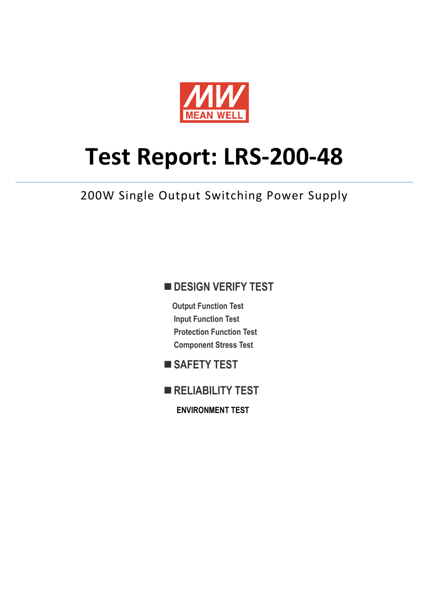

# **Test Report: LRS-200-48**

200W Single Output Switching Power Supply

### **DESIGN VERIFY TEST**

**Output Function Test Input Function Test Protection Function Test Component Stress Test** 

- SAFETY TEST
- **RELIABILITY TEST**

**ENVIRONMENT TEST**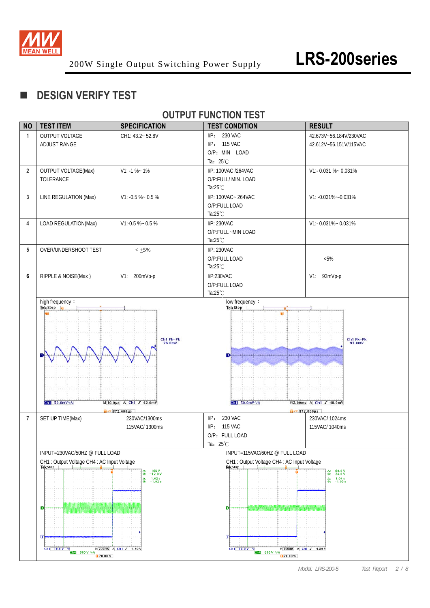

### **DESIGN VERIFY TEST**

#### **OUTPUT FUNCTION TEST**

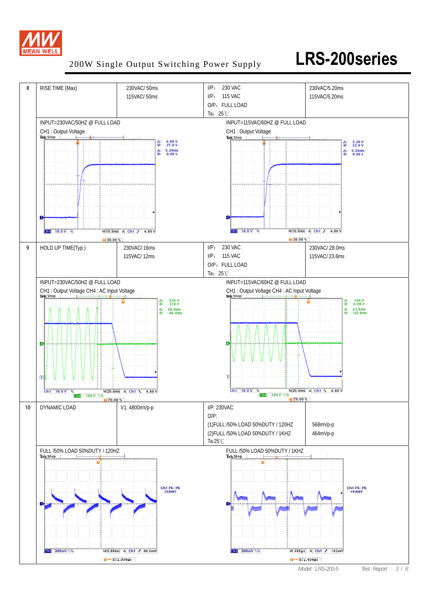

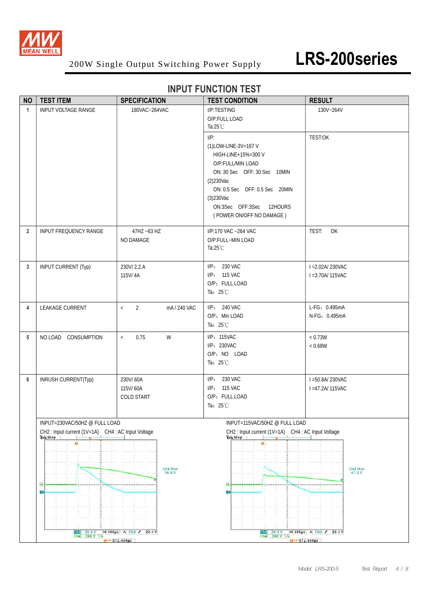

| <b>NO</b>      | <b>TEST ITEM</b>                                             | <b>SPECIFICATION</b>           | <b>TEST CONDITION</b>                                        | <b>RESULT</b>                  |  |
|----------------|--------------------------------------------------------------|--------------------------------|--------------------------------------------------------------|--------------------------------|--|
| $\mathbf{1}$   | INPUT VOLTAGE RANGE                                          | 180VAC~264VAC                  | I/P:TESTING                                                  | 130V~264V                      |  |
|                |                                                              |                                | O/P:FULL LOAD                                                |                                |  |
|                |                                                              |                                | Ta: $25^{\circ}$ C<br>$I/P$ :                                | TEST:OK                        |  |
|                |                                                              |                                | (1)LOW-LINE-3V=167 V                                         |                                |  |
|                |                                                              |                                | HIGH-LINE+15%=300 V                                          |                                |  |
|                |                                                              |                                | O/P:FULL/MIN LOAD                                            |                                |  |
|                |                                                              |                                | ON: 30 Sec OFF: 30 Sec 10MIN                                 |                                |  |
|                |                                                              |                                | $(2)$ 230Vac                                                 |                                |  |
|                |                                                              |                                | ON: 0.5 Sec OFF: 0.5 Sec 20MIN<br>$(3)$ 230Vac               |                                |  |
|                |                                                              |                                | ON:3Sec OFF:3Sec<br>12HOURS                                  |                                |  |
|                |                                                              |                                | (POWER ON/OFF NO DAMAGE)                                     |                                |  |
| $\overline{2}$ | INPUT FREQUENCY RANGE                                        | 47HZ ~63 HZ                    | I/P:170 VAC ~264 VAC                                         | TEST:<br>OK                    |  |
|                |                                                              | NO DAMAGE                      | O/P:FULL~MIN LOAD                                            |                                |  |
|                |                                                              |                                | Ta: $25^{\circ}$ C                                           |                                |  |
| 3              | <b>INPUT CURRENT (Typ)</b>                                   | 230V/2.2.A                     | I/P: 230 VAC                                                 | I = 2.02A/230VAC               |  |
|                |                                                              | 115V/4A                        | I/P: 115 VAC                                                 | $I = 3.70A/115VAC$             |  |
|                |                                                              |                                | O/P: FULL LOAD<br>Ta: $25^{\circ}$ C                         |                                |  |
|                |                                                              |                                |                                                              |                                |  |
| 4              | LEAKAGE CURRENT                                              | $\bar{<}$<br>2<br>mA / 240 VAC | I/P: 240 VAC<br>O/P: Min LOAD                                | L-FG: 0.495mA<br>N-FG: 0.495mA |  |
|                |                                                              |                                | Ta: $25^{\circ}$ C                                           |                                |  |
| 5              | NO LOAD CONSUMPTION                                          | W<br>0.75<br>$\,<$             | I/P: 115VAC                                                  | < 0.73W                        |  |
|                |                                                              |                                | I/P: 230VAC                                                  | < 0.68W                        |  |
|                |                                                              |                                | O/P: NO LOAD                                                 |                                |  |
|                |                                                              |                                | Ta: $25^{\circ}$ C                                           |                                |  |
| 6              | INRUSH CURRENT(Typ)                                          | 230V/60A                       | I/P: 230 VAC                                                 | I = 50.8A/ 230VAC              |  |
|                |                                                              | 115V/60A                       | I/P: 115 VAC                                                 | $I = 47.2A/115VAC$             |  |
|                |                                                              | <b>COLD START</b>              | O/P: FULL LOAD<br>Ta: 25°C                                   |                                |  |
|                |                                                              |                                |                                                              |                                |  |
|                | INPUT=230VAC/50HZ @ FULL LOAD                                |                                | INPUT=115VAC/50HZ @ FULL LOAD                                |                                |  |
|                | CH2: Input current (1V=1A) CH4: AC Input Voltage<br>Tek Stop |                                | CH2: Input current (1V=1A) CH4: AC Input Voltage<br>Tek Stop |                                |  |
|                |                                                              |                                |                                                              |                                |  |
|                |                                                              |                                |                                                              |                                |  |
|                |                                                              | Ch <sub>2</sub> Max<br>50.8 V  |                                                              | Ch <sub>2</sub> Max 47.2 V     |  |
|                |                                                              |                                |                                                              |                                |  |
|                | $\overline{4}$<br>$\overline{2}$                             |                                | $\overline{4}$<br>$\overline{2}$                             |                                |  |
|                |                                                              |                                |                                                              |                                |  |
|                |                                                              |                                |                                                              |                                |  |
|                |                                                              |                                |                                                              |                                |  |
|                | $C12$ 20.0 V                                                 | M 400us A Ch2 J 22.4 V         | $Ch2 = 20.0 V$                                               | M 400us A Ch2 J 22.4 V         |  |
|                | Ch4 200 V 1/4                                                | $0.72400 \mu s$                | Ch4 200 V 1%<br>$0 - 872.400 \mu s$                          |                                |  |

### **INPUT FUNCTION TEST**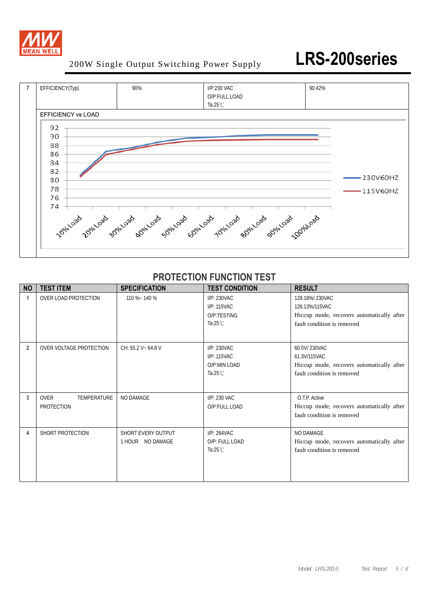



### **PROTECTION FUNCTION TEST**

| <b>NO</b>      | <b>TEST ITEM</b>                                | <b>SPECIFICATION</b>                   | <b>TEST CONDITION</b>                                            | <b>RESULT</b>                                                                                               |
|----------------|-------------------------------------------------|----------------------------------------|------------------------------------------------------------------|-------------------------------------------------------------------------------------------------------------|
|                | OVER LOAD PROTECTION                            | 110 %~ 140 %                           | I/P: 230VAC<br>I/P: 115VAC<br>O/P:TESTING<br>Ta: $25^{\circ}$ C  | 128.18%/230VAC<br>126.13%/115VAC<br>Hiccup mode, recovers automatically after<br>fault condition is removed |
| $\overline{2}$ | OVER VOLTAGE PROTECTION                         | CH: 55.2 V ~ 64.8 V                    | I/P: 230VAC<br>I/P: 115VAC<br>O/P:MIN LOAD<br>Ta: $25^{\circ}$ C | 60.5V/230VAC<br>61.3V/115VAC<br>Hiccup mode, recovers automatically after<br>fault condition is removed     |
| 3              | <b>OVER</b><br><b>TEMPERATURE</b><br>PROTECTION | NO DAMAGE                              | I/P: 230 VAC<br>O/P:FULL LOAD                                    | O.T.P. Active<br>Hiccup mode, recovers automatically after<br>fault condition is removed                    |
| 4              | SHORT PROTECTION                                | SHORT EVERY OUTPUT<br>1 HOUR NO DAMAGE | I/P: 264VAC<br>O/P: FULL LOAD<br>Ta: $25^{\circ}$ C              | <b>NO DAMAGE</b><br>Hiccup mode, recovers automatically after<br>fault condition is removed                 |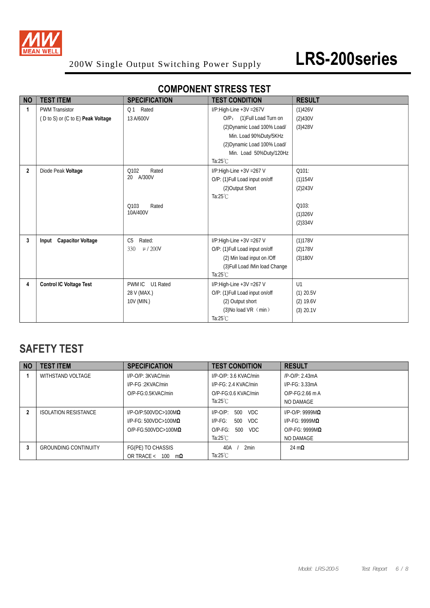

| <b>NO</b>    | <b>TEST ITEM</b>                  | <b>SPECIFICATION</b>     | <b>TEST CONDITION</b>           | <b>RESULT</b> |
|--------------|-----------------------------------|--------------------------|---------------------------------|---------------|
| $\mathbf{1}$ | <b>PWM Transistor</b>             | Rated<br>Q <sub>1</sub>  | I/P:High-Line +3V = 267V        | (1)426V       |
|              | (D to S) or (C to E) Peak Voltage | 13 A/600V                | O/P: (1) Full Load Turn on      | (2)430V       |
|              |                                   |                          | (2) Dynamic Load 100% Load/     | (3)428V       |
|              |                                   |                          | Min. Load 90%Duty/5KHz          |               |
|              |                                   |                          | (2) Dynamic Load 100% Load/     |               |
|              |                                   |                          | Min. Load 50%Duty/120Hz         |               |
|              |                                   |                          | Ta: $25^{\circ}$ C              |               |
| $\mathbf{2}$ | Diode Peak Voltage                | Q102<br>Rated            | I/P:High-Line +3V = 267 V       | Q101:         |
|              |                                   | A/300V<br>20             | O/P: (1) Full Load input on/off | (1)154V       |
|              |                                   |                          | (2) Output Short                | (2)243V       |
|              |                                   |                          | Ta: $25^{\circ}$ C              |               |
|              |                                   | Q103<br>Rated            |                                 | Q103:         |
|              |                                   | 10A/400V                 |                                 | (1)326V       |
|              |                                   |                          |                                 | (2)334V       |
|              |                                   |                          |                                 |               |
| 3            | Input Capacitor Voltage           | C <sub>5</sub><br>Rated: | I/P:High-Line +3V = 267 V       | (1)178V       |
|              |                                   | $\mu$ / 200V<br>330      | O/P: (1) Full Load input on/off | (2)178V       |
|              |                                   |                          | (2) Min load input on /Off      | (3)180V       |
|              |                                   |                          | (3) Full Load /Min load Change  |               |
|              |                                   |                          | Ta: $25^{\circ}$ C              |               |
| 4            | <b>Control IC Voltage Test</b>    | PWM IC U1 Rated          | $I/P$ :High-Line +3V =267 V     | U1            |
|              |                                   | 28 V (MAX.)              | O/P: (1) Full Load input on/off | $(1)$ 20.5V   |
|              |                                   | 10V (MIN.)               | (2) Output short                | $(2)$ 19.6V   |
|              |                                   |                          | $(3)$ No load VR $(min)$        | (3) 20.1V     |
|              |                                   |                          | Ta: $25^{\circ}$ C              |               |

### **COMPONENT STRESS TEST**

## **SAFETY TEST**

| <b>NO</b> | <b>TEST ITEM</b>            | <b>SPECIFICATION</b>             | <b>TEST CONDITION</b>      | <b>RESULT</b>              |
|-----------|-----------------------------|----------------------------------|----------------------------|----------------------------|
|           | WITHSTAND VOLTAGE           | $I/P$ -O/P: $3KVAC/min$          | $I/P$ -O/P: 3.6 KVAC/min   | /P-O/P: 2.43mA             |
|           |                             | $I/P$ - $FG : 2KVAC/min$         | $I/P$ - $FG: 2.4$ KVAC/min | $I/P-FG: 3.33mA$           |
|           |                             | $O/P-FG:0.5KVAC/min$             | O/P-FG:0.6 KVAC/min        | $O/P-FG:2.66$ m A          |
|           |                             |                                  | Ta: $25^{\circ}$ C         | NO DAMAGE                  |
| 2         | <b>ISOLATION RESISTANCE</b> | $I/P$ -O/P:500VDC>100M $\Omega$  | $I/P$ -O/P:<br>VDC.<br>500 | $I/P$ -O/P: 9999M $\Omega$ |
|           |                             | $I/P-FG: 500VDC > 100M\Omega$    | $IP-FG:$<br>500<br>VDC.    | I/P-FG: 9999M $\Omega$     |
|           |                             | $O/P-FG:500VDC>100M\Omega$       | VDC.<br>$O/P-FG$ :<br>500  | $O/P-FG: 9999MQ$           |
|           |                             |                                  | Ta:25 $°C$                 | NO DAMAGE                  |
| 3         | <b>GROUNDING CONTINUITY</b> | FG(PE) TO CHASSIS                | 2min<br>40A                | 24 m $\Omega$              |
|           |                             | OR TRACE < $100 \text{ m}\Omega$ | Ta:25 $°C$                 |                            |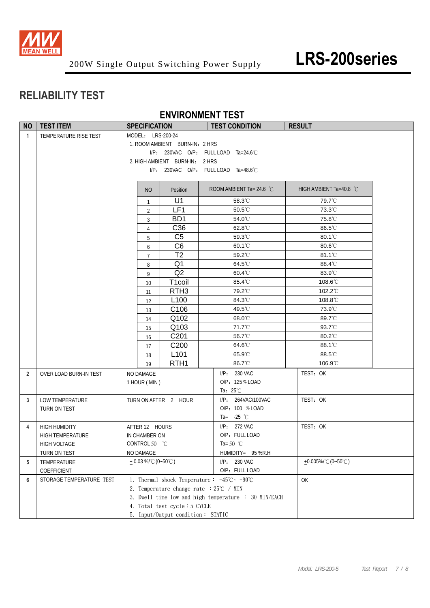

## **RELIABILITY TEST**

 **ENVIRONMENT TEST**

| <b>NO</b>      | <b>TEST ITEM</b>         | <b>SPECIFICATION</b> |                                                      |                                                        | <b>TEST CONDITION</b> | <b>RESULT</b>                                                                |                                           |  |
|----------------|--------------------------|----------------------|------------------------------------------------------|--------------------------------------------------------|-----------------------|------------------------------------------------------------------------------|-------------------------------------------|--|
| $\mathbf{1}$   | TEMPERATURE RISE TEST    |                      | MODEL: LRS-200-24                                    |                                                        |                       |                                                                              |                                           |  |
|                |                          |                      |                                                      | 1. ROOM AMBIENT BURN-IN: 2 HRS                         |                       |                                                                              |                                           |  |
|                |                          |                      |                                                      | I/P: 230VAC O/P: FULL LOAD Ta=24.6°C                   |                       |                                                                              |                                           |  |
|                |                          |                      |                                                      | 2. HIGH AMBIENT BURN-IN: 2 HRS                         |                       |                                                                              |                                           |  |
|                |                          |                      |                                                      | I/P: 230VAC O/P: FULL LOAD Ta=48.6°C                   |                       |                                                                              |                                           |  |
|                |                          |                      |                                                      |                                                        |                       |                                                                              |                                           |  |
|                |                          |                      | NO                                                   | Position                                               |                       | ROOM AMBIENT Ta= 24.6 $^{\circ}$ C                                           | HIGH AMBIENT Ta=40.8 °C                   |  |
|                |                          |                      | $\mathbf{1}$                                         | U1                                                     |                       | 58.3°C                                                                       | 79.7°C                                    |  |
|                |                          |                      | $\overline{2}$                                       | LF1                                                    |                       | 50.5°C                                                                       | 73.3°C                                    |  |
|                |                          |                      | 3                                                    | BD <sub>1</sub>                                        |                       | 54.0°C                                                                       | 75.8°C                                    |  |
|                |                          |                      | $\overline{4}$                                       | C36                                                    |                       | 62.8°C                                                                       | 86.5°C                                    |  |
|                |                          |                      | 5                                                    | C <sub>5</sub>                                         |                       | 59.3°C                                                                       | 80.1°C                                    |  |
|                |                          |                      | 6                                                    | C <sub>6</sub>                                         |                       | $60.1^{\circ}$ C                                                             | $80.6^{\circ}$ C                          |  |
|                |                          |                      | $7\overline{ }$                                      | T <sub>2</sub>                                         |                       | 59.2°C                                                                       | 81.1°C                                    |  |
|                |                          |                      | 8                                                    | Q <sub>1</sub>                                         |                       | 64.5°C                                                                       | 88.4°C                                    |  |
|                |                          |                      | 9                                                    | Q2                                                     |                       | 60.4°C                                                                       | 83.9°C                                    |  |
|                |                          |                      | 10                                                   | T1coil                                                 |                       | 85.4°C                                                                       | 108.6°C                                   |  |
|                |                          |                      | 11                                                   | RTH <sub>3</sub>                                       |                       | 79.2°C                                                                       | 102.2°C                                   |  |
|                |                          |                      | 12                                                   | L <sub>100</sub>                                       |                       | 84.3°C                                                                       | 108.8°C                                   |  |
|                |                          |                      | 13                                                   | C <sub>106</sub>                                       |                       | 49.5°C                                                                       | 73.9°C                                    |  |
|                |                          |                      | 14                                                   | Q102                                                   |                       | 68.0°C                                                                       | 89.7°C                                    |  |
|                |                          |                      | 15                                                   | Q103                                                   |                       | 71.7°C                                                                       | 93.7°C                                    |  |
|                |                          |                      | 16                                                   | C201                                                   |                       | 56.7°C                                                                       | $80.2^{\circ}$                            |  |
|                |                          |                      | 17                                                   | C200                                                   |                       | 64.6°C                                                                       | 88.1°C                                    |  |
|                |                          |                      | 18                                                   | L <sub>101</sub>                                       |                       | 65.9°C                                                                       | 88.5°C                                    |  |
|                |                          |                      | 19                                                   | RTH <sub>1</sub>                                       |                       | 86.7°C                                                                       | 106.9°C                                   |  |
| $\overline{2}$ | OVER LOAD BURN-IN TEST   |                      | NO DAMAGE                                            |                                                        |                       | I/P: 230 VAC                                                                 | TEST: OK                                  |  |
|                |                          |                      | 1 HOUR (MIN)                                         |                                                        |                       | O/P: 125% LOAD                                                               |                                           |  |
|                |                          |                      |                                                      |                                                        |                       | Ta: $25^{\circ}$ C                                                           |                                           |  |
| 3              | LOW TEMPERATURE          |                      |                                                      | TURN ON AFTER 2 HOUR                                   |                       | I/P: 264VAC/100VAC                                                           | TEST: OK                                  |  |
|                | TURN ON TEST             |                      |                                                      |                                                        |                       | O/P: 100 % LOAD                                                              |                                           |  |
|                |                          |                      |                                                      |                                                        |                       | Ta= $-25$ °C                                                                 |                                           |  |
| 4              | <b>HIGH HUMIDITY</b>     |                      | AFTER 12 HOURS                                       |                                                        |                       | I/P: 272 VAC                                                                 | TEST: OK                                  |  |
|                | <b>HIGH TEMPERATURE</b>  |                      | IN CHAMBER ON                                        |                                                        |                       | O/P: FULL LOAD                                                               |                                           |  |
|                | HIGH VOLTAGE             |                      | CONTROL 50 °C                                        |                                                        |                       | Ta= 50 $^{\circ}$ C                                                          |                                           |  |
|                | TURN ON TEST             |                      | NO DAMAGE                                            |                                                        |                       | HUMIDITY= 95 %R.H                                                            |                                           |  |
| 5              | TEMPERATURE              |                      | $+0.03\%$ (0~50°C)                                   |                                                        |                       | I/P: 230 VAC                                                                 | +0.005%/ $^{\circ}$ C (0~50 $^{\circ}$ C) |  |
|                | COEFFICIENT              |                      |                                                      |                                                        |                       | O/P: FULL LOAD                                                               |                                           |  |
| 6              | STORAGE TEMPERATURE TEST |                      |                                                      |                                                        |                       | 1. Thermal shock Temperature: $-45^{\circ}\text{C} \sim +90^{\circ}\text{C}$ | OK                                        |  |
|                |                          |                      |                                                      | 2. Temperature change rate $:25^{\circ}\text{C}$ / MIN |                       |                                                                              |                                           |  |
|                |                          |                      | 3. Dwell time low and high temperature : 30 MIN/EACH |                                                        |                       |                                                                              |                                           |  |
|                |                          |                      |                                                      | 4. Total test cycle: 5 CYCLE                           |                       |                                                                              |                                           |  |
|                |                          |                      | 5. Input/Output condition: STATIC                    |                                                        |                       |                                                                              |                                           |  |